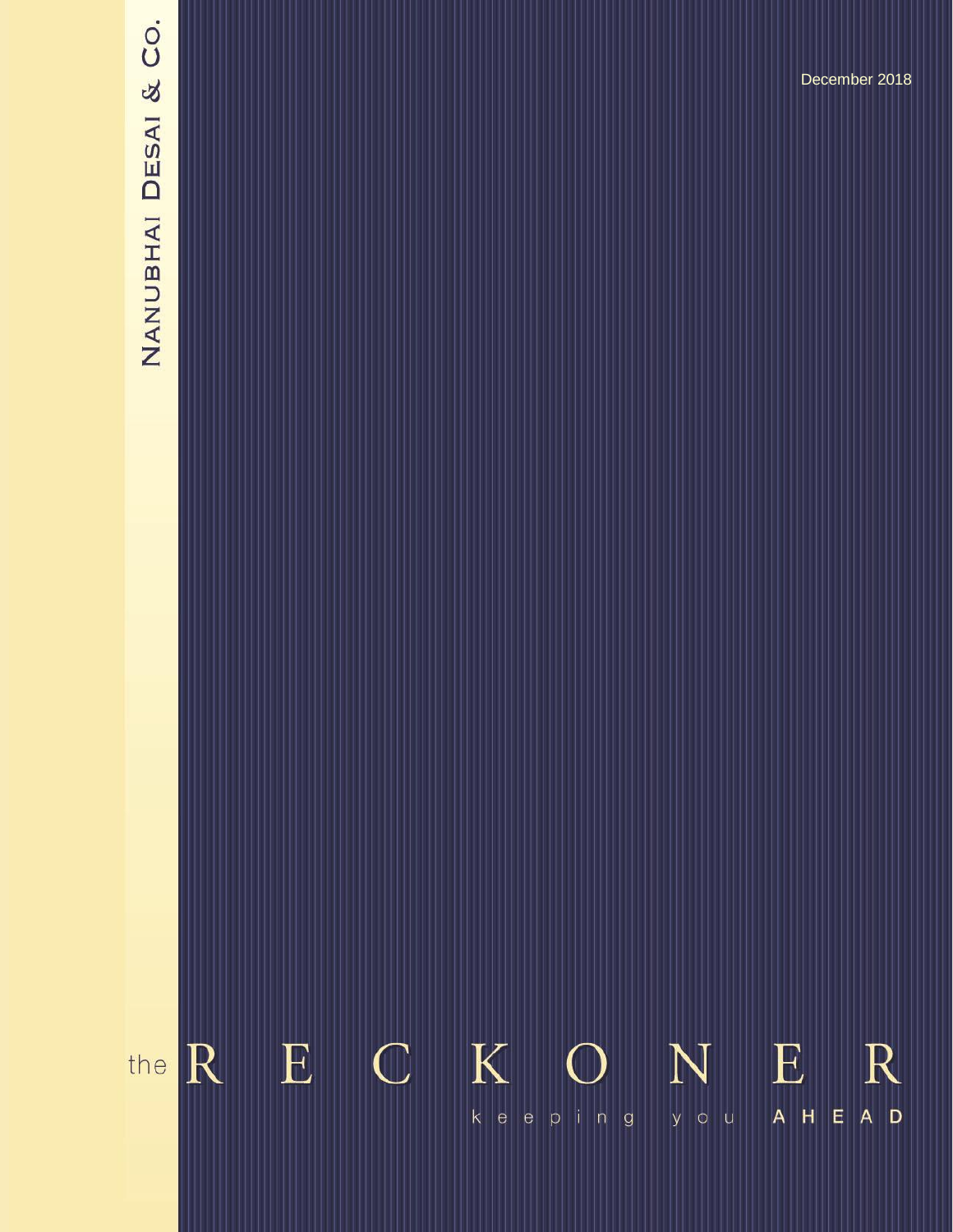# NANUBHAI DESAI & CO.

the R  $\boldsymbol{K}$  $E$ N  $E$ R  $\mathbb C$  $\Box$ A H E k e e p in g  $y$  o  $u$  $A$   $D$ 

**The Reckoner….** *keeping you ahead* **January 2011** December 2018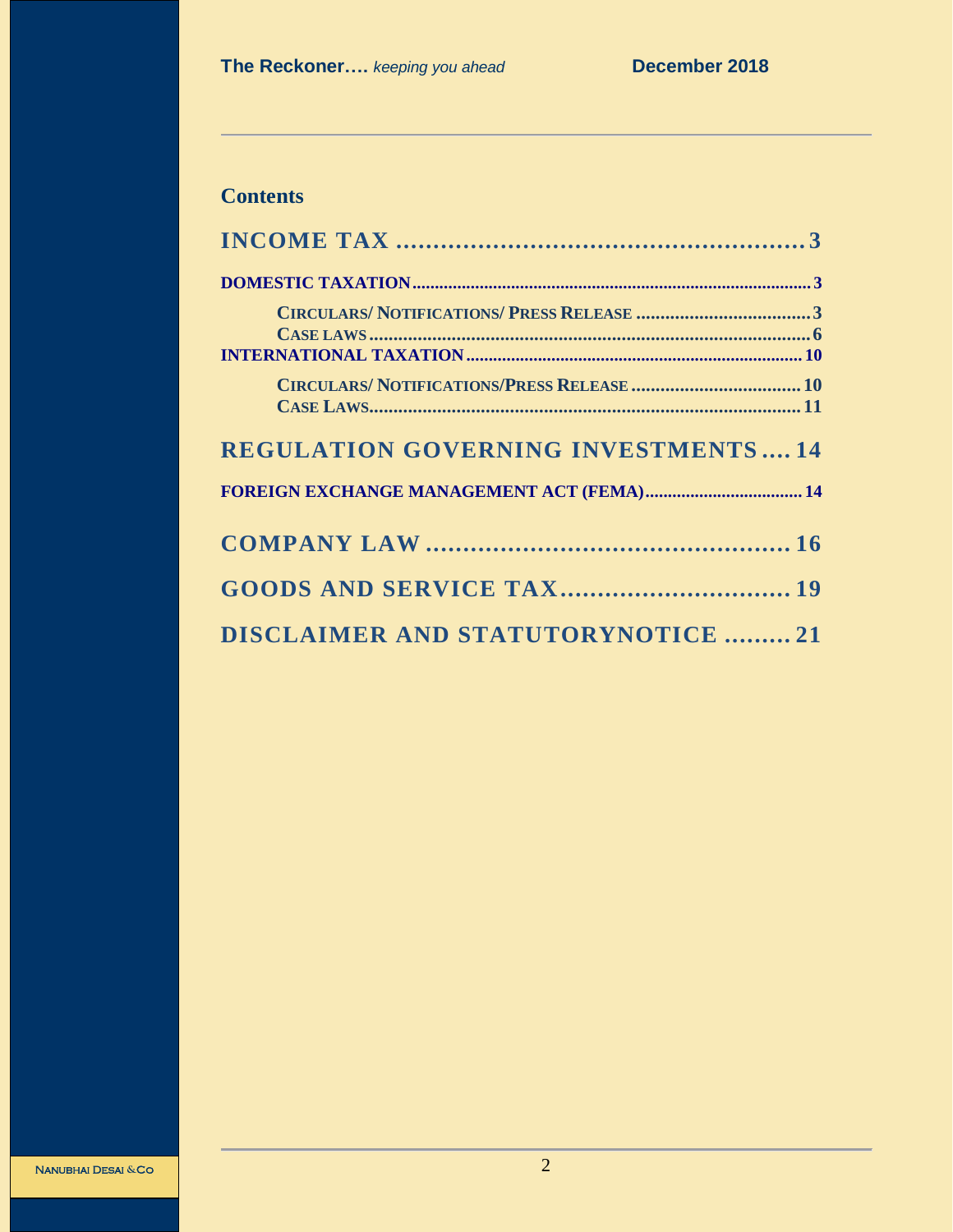# **Contents**

| <b>REGULATION GOVERNING INVESTMENTS 14</b> |
|--------------------------------------------|
|                                            |
|                                            |
|                                            |
| <b>DISCLAIMER AND STATUTORYNOTICE  21</b>  |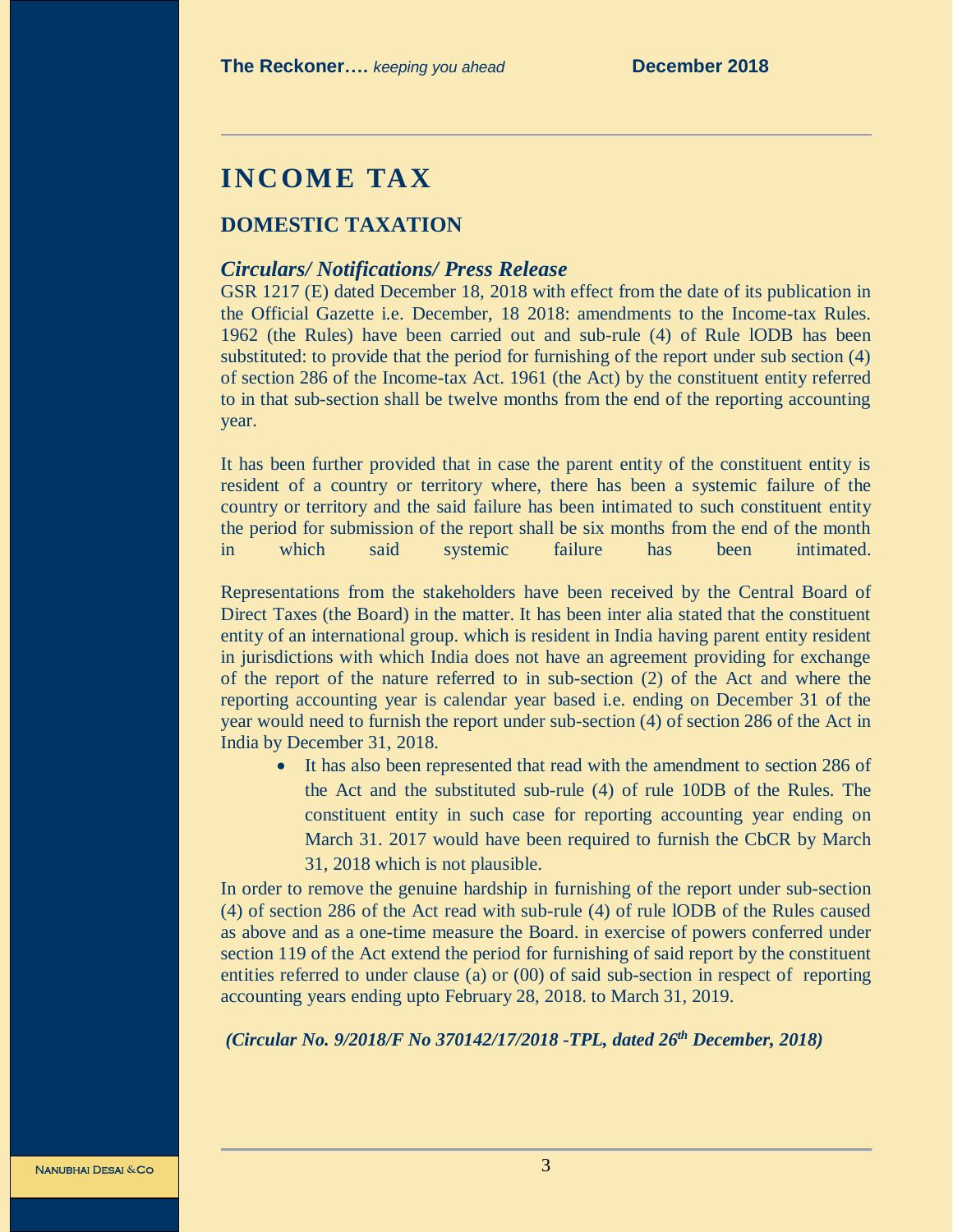# <span id="page-2-0"></span>**INCOME TAX**

# <span id="page-2-1"></span>**DOMESTIC TAXATION**

#### <span id="page-2-2"></span>*Circulars/ Notifications/ Press Release*

GSR 1217 (E) dated December 18, 2018 with effect from the date of its publication in the Official Gazette i.e. December, 18 2018: amendments to the Income-tax Rules. 1962 (the Rules) have been carried out and sub-rule (4) of Rule lODB has been substituted: to provide that the period for furnishing of the report under sub section (4) of section 286 of the Income-tax Act. 1961 (the Act) by the constituent entity referred to in that sub-section shall be twelve months from the end of the reporting accounting year.

It has been further provided that in case the parent entity of the constituent entity is resident of a country or territory where, there has been a systemic failure of the country or territory and the said failure has been intimated to such constituent entity the period for submission of the report shall be six months from the end of the month in which said systemic failure has been intimated.

Representations from the stakeholders have been received by the Central Board of Direct Taxes (the Board) in the matter. It has been inter alia stated that the constituent entity of an international group. which is resident in India having parent entity resident in jurisdictions with which India does not have an agreement providing for exchange of the report of the nature referred to in sub-section (2) of the Act and where the reporting accounting year is calendar year based i.e. ending on December 31 of the year would need to furnish the report under sub-section (4) of section 286 of the Act in India by December 31, 2018.

 It has also been represented that read with the amendment to section 286 of the Act and the substituted sub-rule (4) of rule 10DB of the Rules. The constituent entity in such case for reporting accounting year ending on March 31. 2017 would have been required to furnish the CbCR by March 31, 2018 which is not plausible.

In order to remove the genuine hardship in furnishing of the report under sub-section (4) of section 286 of the Act read with sub-rule (4) of rule lODB of the Rules caused as above and as a one-time measure the Board. in exercise of powers conferred under section 119 of the Act extend the period for furnishing of said report by the constituent entities referred to under clause (a) or (00) of said sub-section in respect of reporting accounting years ending upto February 28, 2018. to March 31, 2019.

*(Circular No. 9/2018/F No 370142/17/2018 -TPL, dated 26th December, 2018)*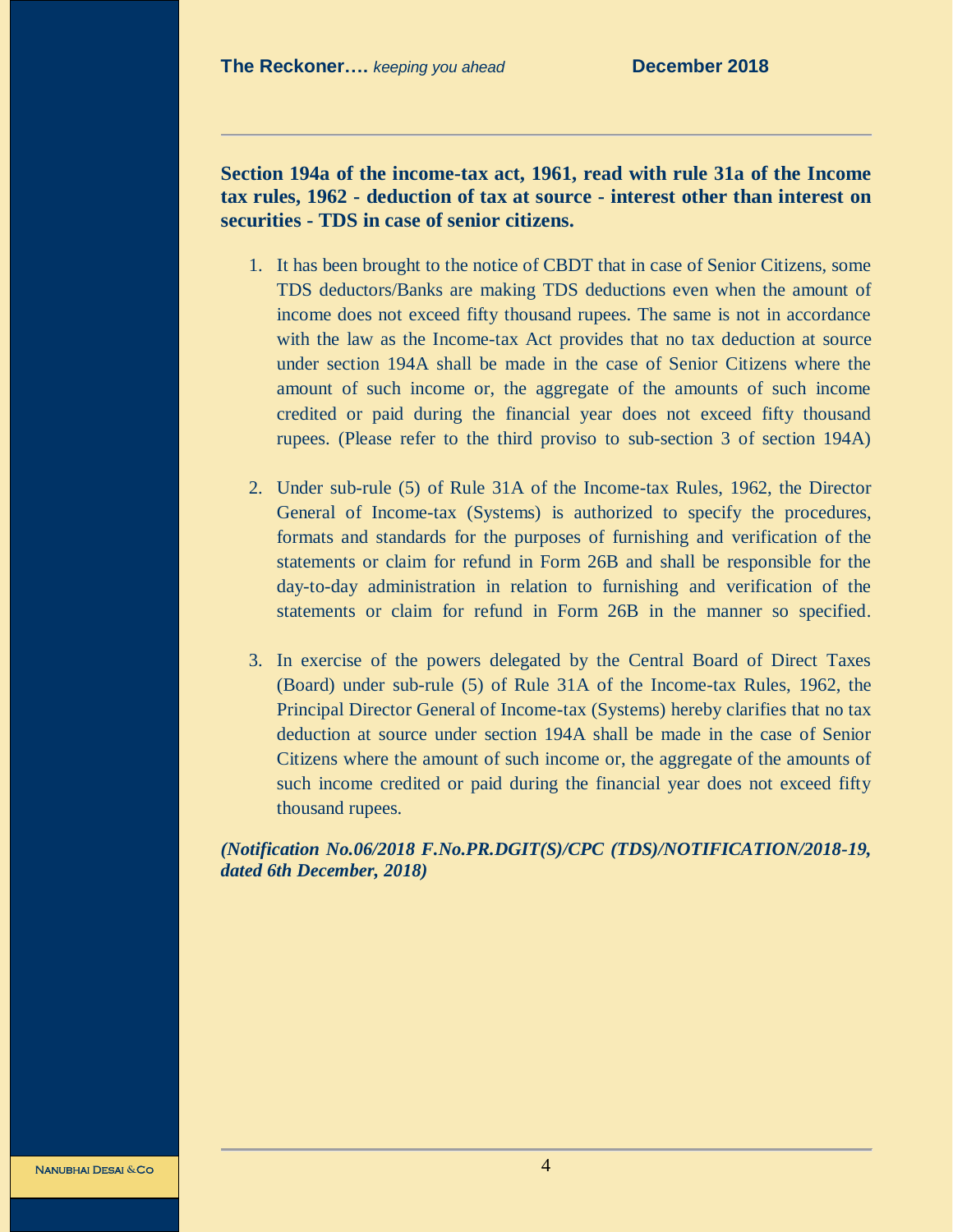## **Section 194a of the income-tax act, 1961, read with rule 31a of the Income tax rules, 1962 - deduction of tax at source - interest other than interest on securities - TDS in case of senior citizens.**

- 1. It has been brought to the notice of CBDT that in case of Senior Citizens, some TDS deductors/Banks are making TDS deductions even when the amount of income does not exceed fifty thousand rupees. The same is not in accordance with the law as the Income-tax Act provides that no tax deduction at source under section 194A shall be made in the case of Senior Citizens where the amount of such income or, the aggregate of the amounts of such income credited or paid during the financial year does not exceed fifty thousand rupees. (Please refer to the third proviso to sub-section 3 of section 194A)
- 2. Under sub-rule (5) of Rule 31A of the Income-tax Rules, 1962, the Director General of Income-tax (Systems) is authorized to specify the procedures, formats and standards for the purposes of furnishing and verification of the statements or claim for refund in Form 26B and shall be responsible for the day-to-day administration in relation to furnishing and verification of the statements or claim for refund in Form 26B in the manner so specified.
- 3. In exercise of the powers delegated by the Central Board of Direct Taxes (Board) under sub-rule (5) of Rule 31A of the Income-tax Rules, 1962, the Principal Director General of Income-tax (Systems) hereby clarifies that no tax deduction at source under section 194A shall be made in the case of Senior Citizens where the amount of such income or, the aggregate of the amounts of such income credited or paid during the financial year does not exceed fifty thousand rupees.

*(Notification No.06/2018 F.No.PR.DGIT(S)/CPC (TDS)/NOTIFICATION/2018-19, dated 6th December, 2018)*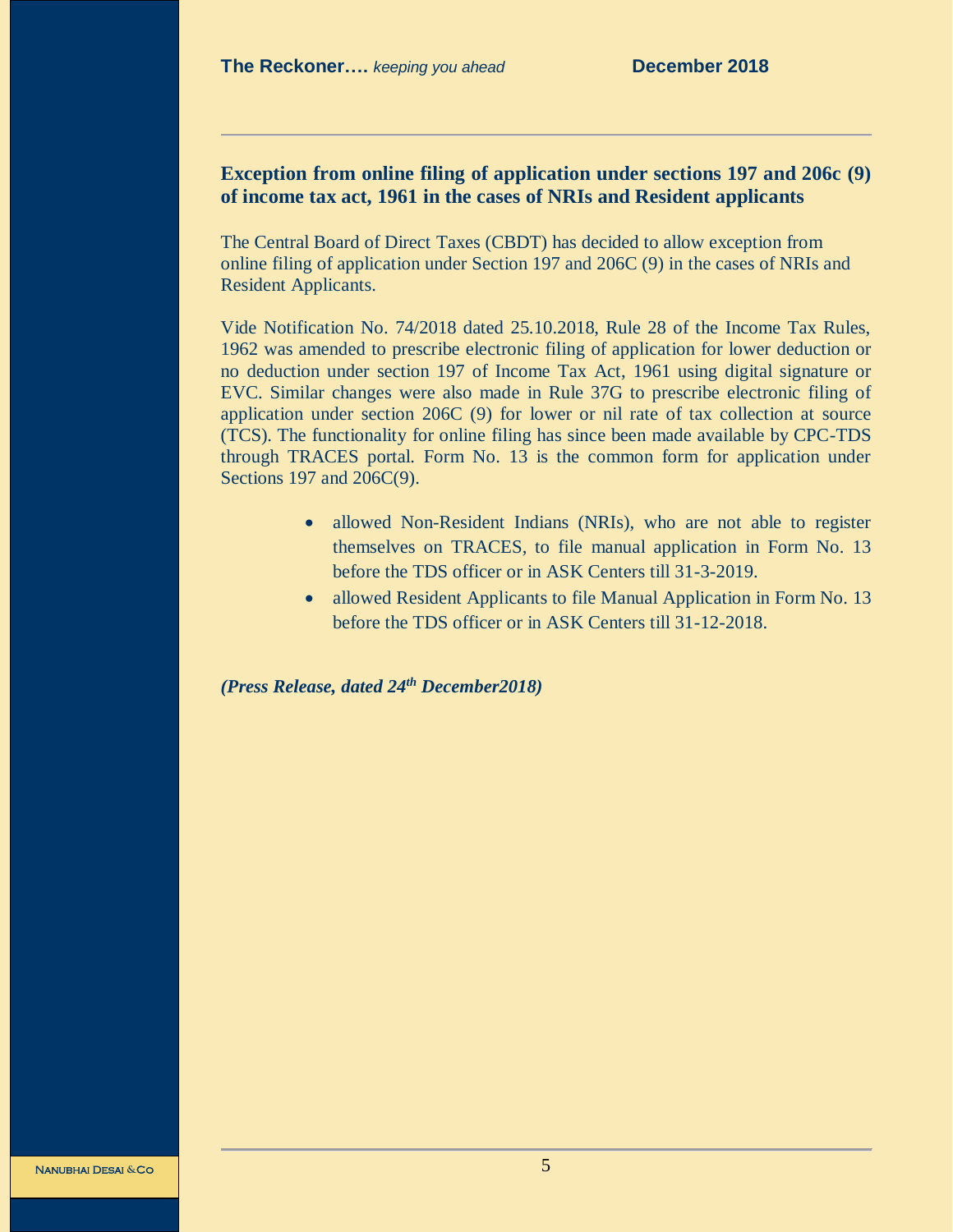#### **Exception from online filing of application under sections 197 and 206c (9) of income tax act, 1961 in the cases of NRIs and Resident applicants**

The Central Board of Direct Taxes (CBDT) has decided to allow exception from online filing of application under Section 197 and 206C (9) in the cases of NRIs and Resident Applicants.

Vide Notification No. 74/2018 dated 25.10.2018, Rule 28 of the Income Tax Rules, 1962 was amended to prescribe electronic filing of application for lower deduction or no deduction under section 197 of Income Tax Act, 1961 using digital signature or EVC. Similar changes were also made in Rule 37G to prescribe electronic filing of application under section 206C (9) for lower or nil rate of tax collection at source (TCS). The functionality for online filing has since been made available by CPC-TDS through TRACES portal. Form No. 13 is the common form for application under Sections 197 and 206C(9).

- allowed Non-Resident Indians (NRIs), who are not able to register themselves on TRACES, to file manual application in Form No. 13 before the TDS officer or in ASK Centers till 31-3-2019.
- allowed Resident Applicants to file Manual Application in Form No. 13 before the TDS officer or in ASK Centers till 31-12-2018.

*(Press Release, dated 24th December2018)*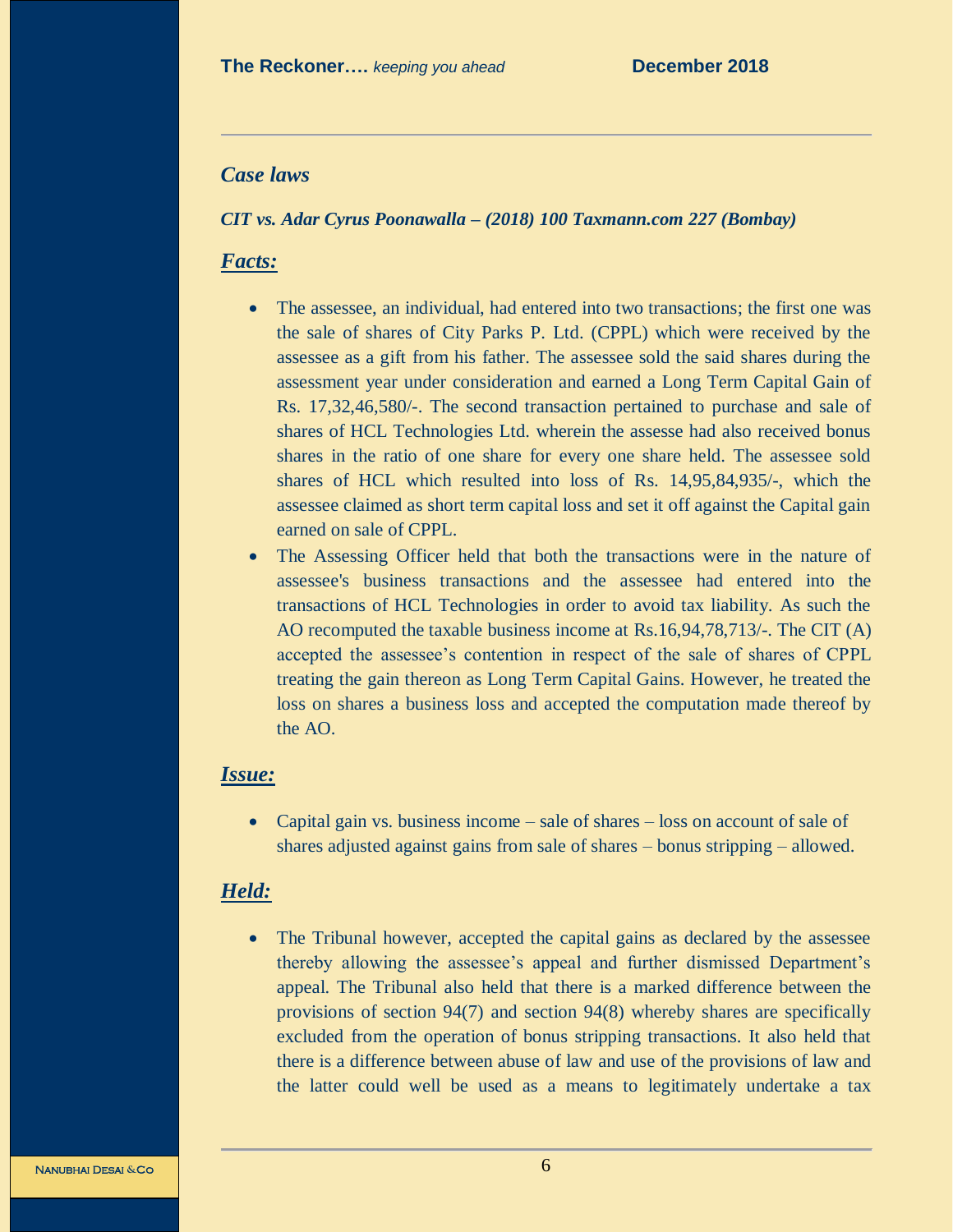# <span id="page-5-0"></span>*Case laws*

#### *CIT vs. Adar Cyrus Poonawalla – (2018) 100 Taxmann.com 227 (Bombay)*

#### *Facts:*

- The assessee, an individual, had entered into two transactions; the first one was the sale of shares of City Parks P. Ltd. (CPPL) which were received by the assessee as a gift from his father. The assessee sold the said shares during the assessment year under consideration and earned a Long Term Capital Gain of Rs. 17,32,46,580/-. The second transaction pertained to purchase and sale of shares of HCL Technologies Ltd. wherein the assesse had also received bonus shares in the ratio of one share for every one share held. The assessee sold shares of HCL which resulted into loss of Rs. 14,95,84,935/-, which the assessee claimed as short term capital loss and set it off against the Capital gain earned on sale of CPPL.
- The Assessing Officer held that both the transactions were in the nature of assessee's business transactions and the assessee had entered into the transactions of HCL Technologies in order to avoid tax liability. As such the AO recomputed the taxable business income at Rs.16,94,78,713/-. The CIT (A) accepted the assessee's contention in respect of the sale of shares of CPPL treating the gain thereon as Long Term Capital Gains. However, he treated the loss on shares a business loss and accepted the computation made thereof by the AO.

#### *Issue:*

• Capital gain vs. business income – sale of shares – loss on account of sale of shares adjusted against gains from sale of shares – bonus stripping – allowed.

# *Held:*

• The Tribunal however, accepted the capital gains as declared by the assessee thereby allowing the assessee's appeal and further dismissed Department's appeal. The Tribunal also held that there is a marked difference between the provisions of section 94(7) and section 94(8) whereby shares are specifically excluded from the operation of bonus stripping transactions. It also held that there is a difference between abuse of law and use of the provisions of law and the latter could well be used as a means to legitimately undertake a tax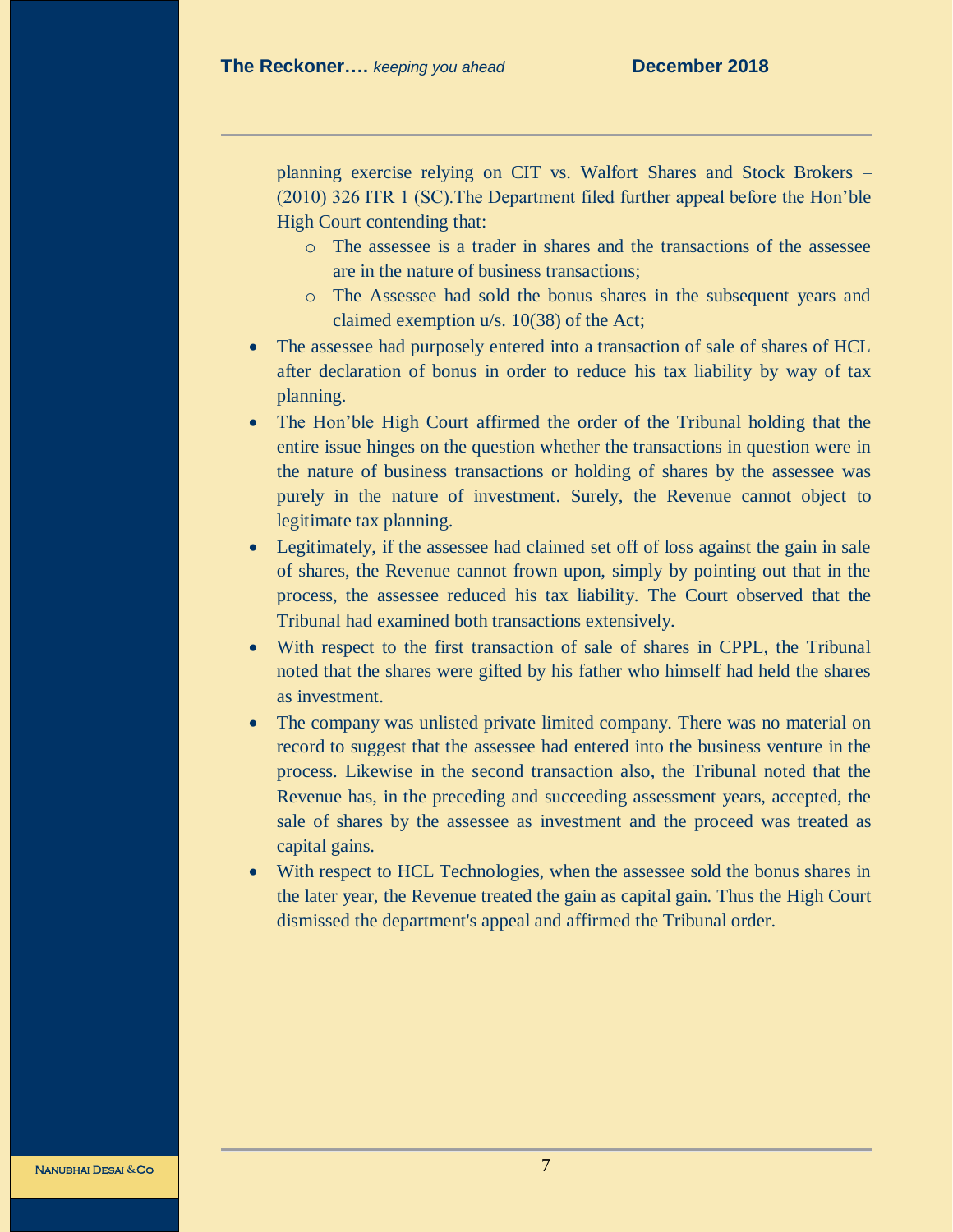planning exercise relying on CIT vs. Walfort Shares and Stock Brokers – (2010) 326 ITR 1 (SC).The Department filed further appeal before the Hon'ble High Court contending that:

- o The assessee is a trader in shares and the transactions of the assessee are in the nature of business transactions;
- o The Assessee had sold the bonus shares in the subsequent years and claimed exemption u/s. 10(38) of the Act;
- The assessee had purposely entered into a transaction of sale of shares of HCL after declaration of bonus in order to reduce his tax liability by way of tax planning.
- The Hon'ble High Court affirmed the order of the Tribunal holding that the entire issue hinges on the question whether the transactions in question were in the nature of business transactions or holding of shares by the assessee was purely in the nature of investment. Surely, the Revenue cannot object to legitimate tax planning.
- Legitimately, if the assessee had claimed set off of loss against the gain in sale of shares, the Revenue cannot frown upon, simply by pointing out that in the process, the assessee reduced his tax liability. The Court observed that the Tribunal had examined both transactions extensively.
- With respect to the first transaction of sale of shares in CPPL, the Tribunal noted that the shares were gifted by his father who himself had held the shares as investment.
- The company was unlisted private limited company. There was no material on record to suggest that the assessee had entered into the business venture in the process. Likewise in the second transaction also, the Tribunal noted that the Revenue has, in the preceding and succeeding assessment years, accepted, the sale of shares by the assessee as investment and the proceed was treated as capital gains.
- With respect to HCL Technologies, when the assessee sold the bonus shares in the later year, the Revenue treated the gain as capital gain. Thus the High Court dismissed the department's appeal and affirmed the Tribunal order.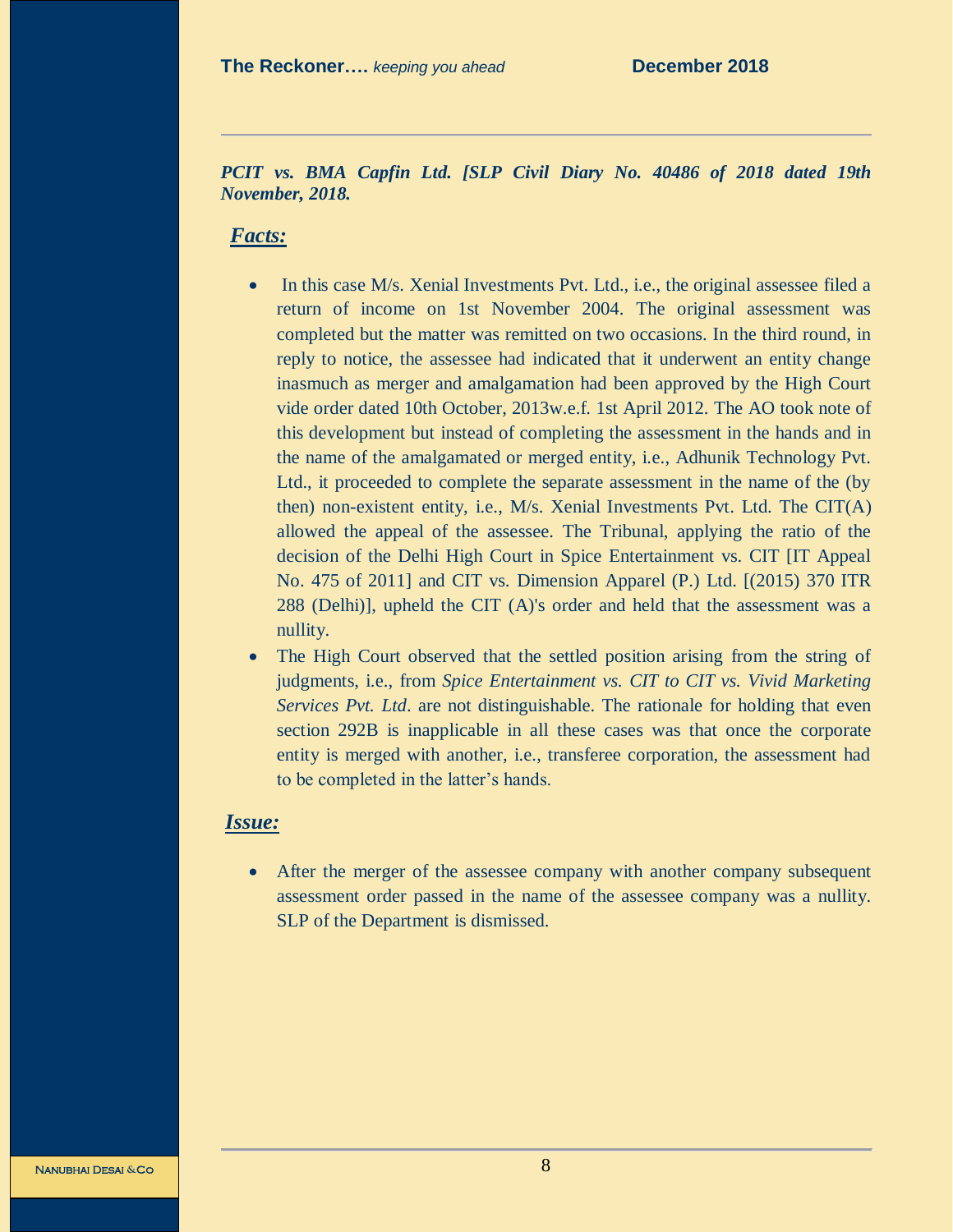## *PCIT vs. BMA Capfin Ltd. [SLP Civil Diary No. 40486 of 2018 dated 19th November, 2018.*

#### *Facts:*

- In this case M/s. Xenial Investments Pvt. Ltd., i.e., the original assessee filed a return of income on 1st November 2004. The original assessment was completed but the matter was remitted on two occasions. In the third round, in reply to notice, the assessee had indicated that it underwent an entity change inasmuch as merger and amalgamation had been approved by the High Court vide order dated 10th October, 2013w.e.f. 1st April 2012. The AO took note of this development but instead of completing the assessment in the hands and in the name of the amalgamated or merged entity, i.e., Adhunik Technology Pvt. Ltd., it proceeded to complete the separate assessment in the name of the (by then) non-existent entity, i.e., M/s. Xenial Investments Pvt. Ltd. The CIT(A) allowed the appeal of the assessee. The Tribunal, applying the ratio of the decision of the Delhi High Court in Spice Entertainment vs. CIT [IT Appeal No. 475 of 2011] and CIT vs. Dimension Apparel (P.) Ltd. [(2015) 370 ITR 288 (Delhi)], upheld the CIT (A)'s order and held that the assessment was a nullity.
- The High Court observed that the settled position arising from the string of judgments, i.e., from *Spice Entertainment vs. CIT to CIT vs. Vivid Marketing Services Pvt. Ltd*. are not distinguishable. The rationale for holding that even section 292B is inapplicable in all these cases was that once the corporate entity is merged with another, i.e., transferee corporation, the assessment had to be completed in the latter's hands.

#### *Issue:*

 After the merger of the assessee company with another company subsequent assessment order passed in the name of the assessee company was a nullity. SLP of the Department is dismissed.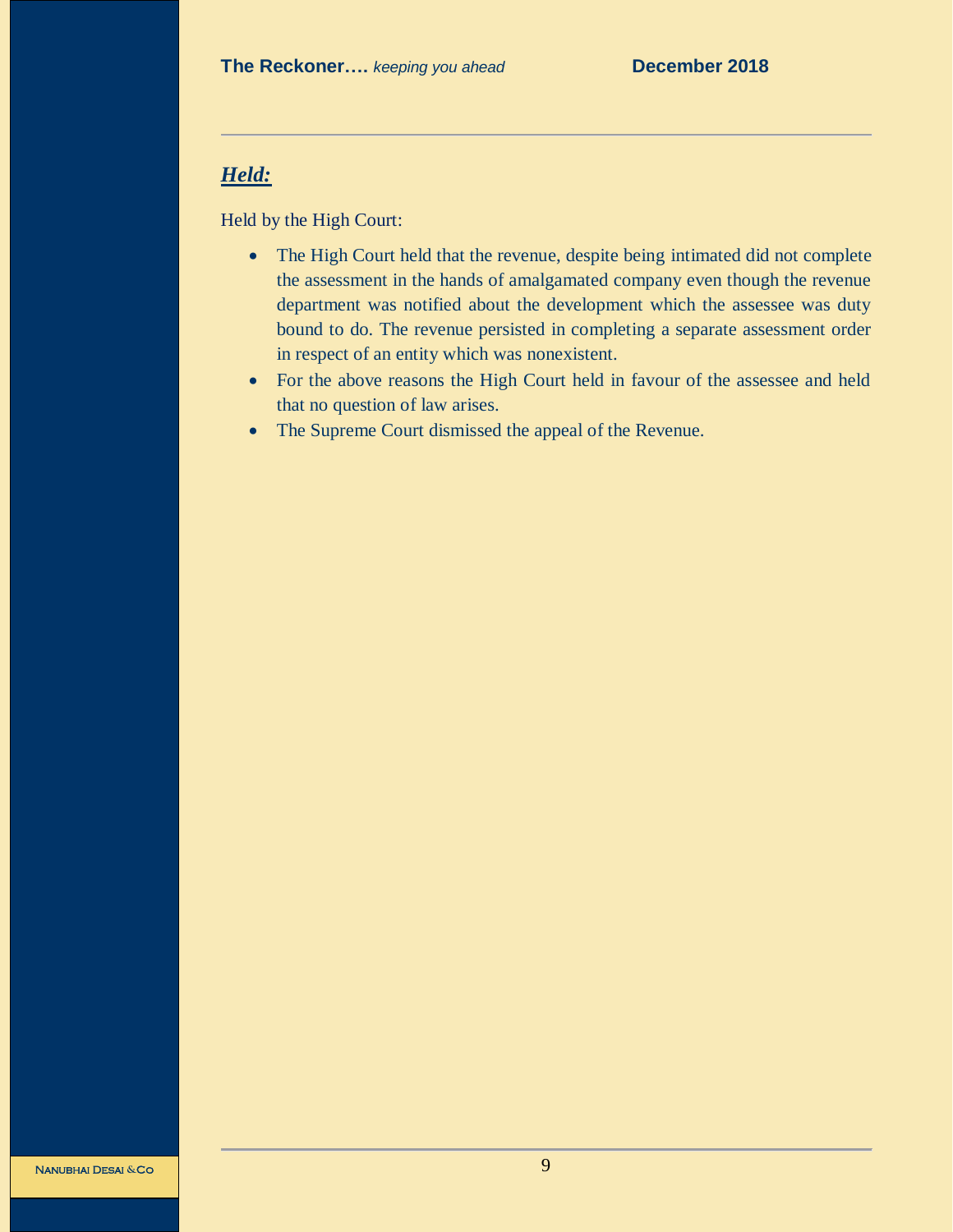# *Held:*

Held by the High Court:

- The High Court held that the revenue, despite being intimated did not complete the assessment in the hands of amalgamated company even though the revenue department was notified about the development which the assessee was duty bound to do. The revenue persisted in completing a separate assessment order in respect of an entity which was nonexistent.
- For the above reasons the High Court held in favour of the assessee and held that no question of law arises.
- The Supreme Court dismissed the appeal of the Revenue.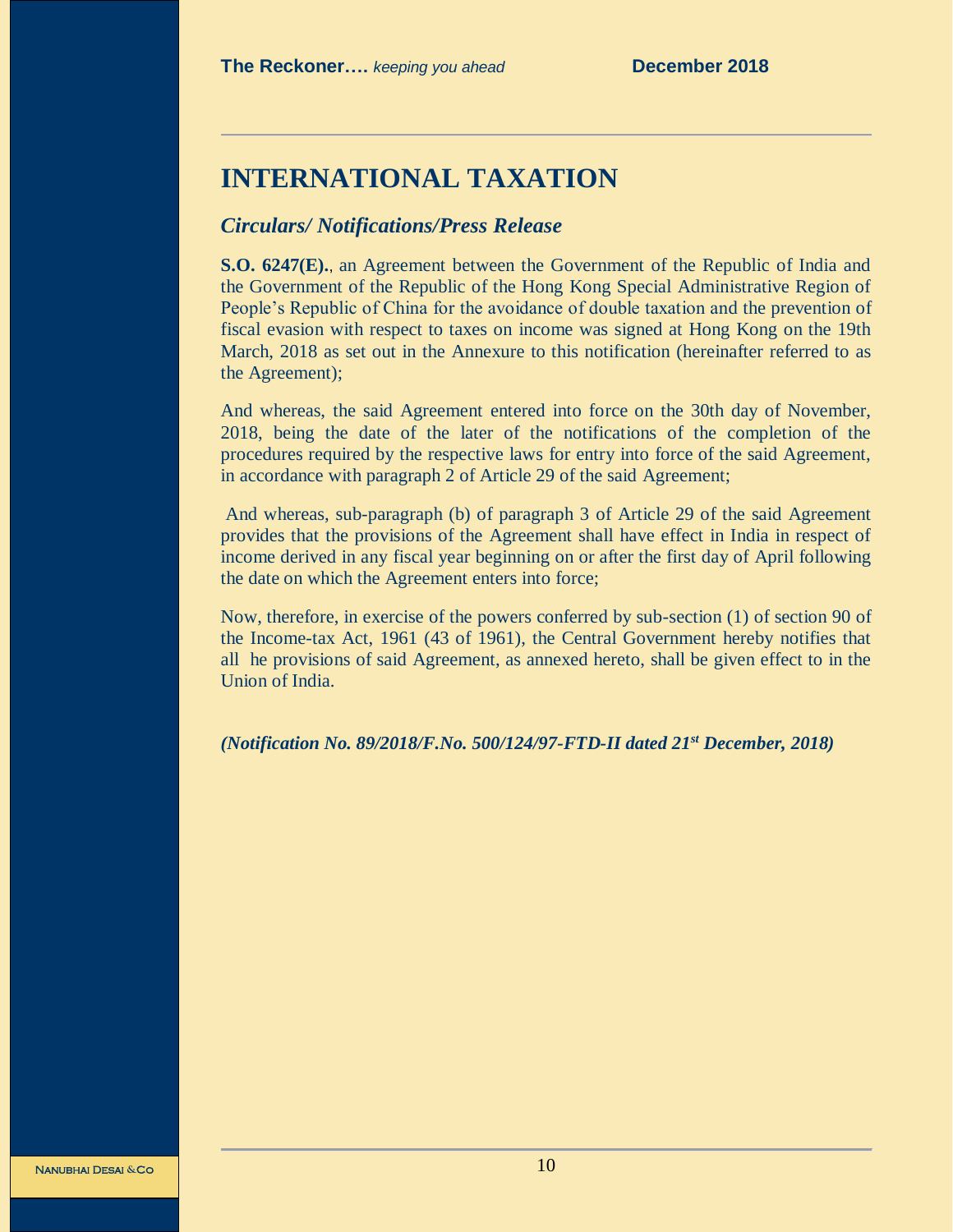# <span id="page-9-0"></span>**INTERNATIONAL TAXATION**

# <span id="page-9-1"></span>*Circulars/ Notifications/Press Release*

**S.O. 6247(E).**, an Agreement between the Government of the Republic of India and the Government of the Republic of the Hong Kong Special Administrative Region of People's Republic of China for the avoidance of double taxation and the prevention of fiscal evasion with respect to taxes on income was signed at Hong Kong on the 19th March, 2018 as set out in the Annexure to this notification (hereinafter referred to as the Agreement);

And whereas, the said Agreement entered into force on the 30th day of November, 2018, being the date of the later of the notifications of the completion of the procedures required by the respective laws for entry into force of the said Agreement, in accordance with paragraph 2 of Article 29 of the said Agreement;

And whereas, sub-paragraph (b) of paragraph 3 of Article 29 of the said Agreement provides that the provisions of the Agreement shall have effect in India in respect of income derived in any fiscal year beginning on or after the first day of April following the date on which the Agreement enters into force;

Now, therefore, in exercise of the powers conferred by sub-section (1) of section 90 of the Income-tax Act, 1961 (43 of 1961), the Central Government hereby notifies that all he provisions of said Agreement, as annexed hereto, shall be given effect to in the Union of India.

*(Notification No. 89/2018/F.No. 500/124/97-FTD-II dated 21st December, 2018)*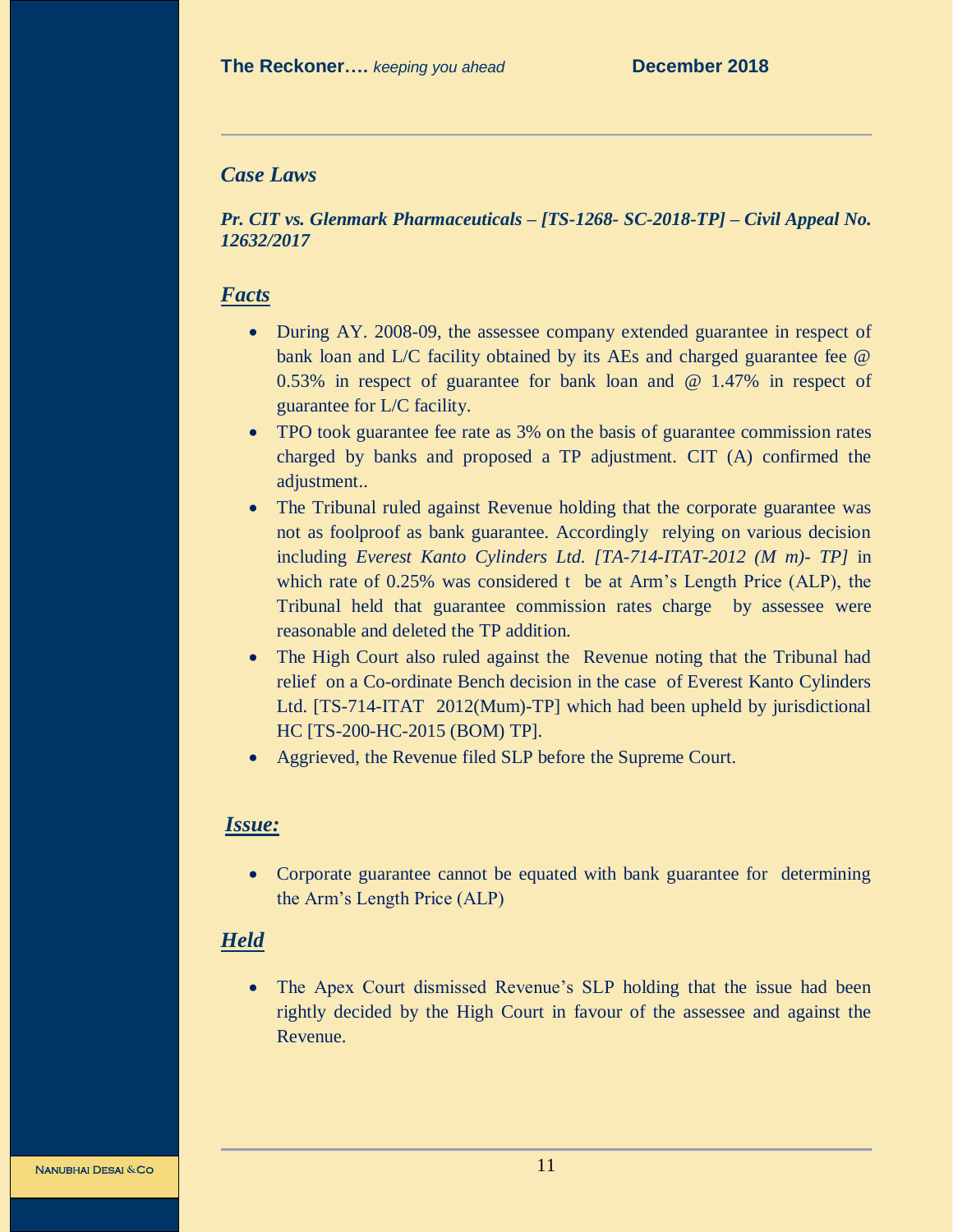# <span id="page-10-0"></span>*Case Laws*

*Pr. CIT vs. Glenmark Pharmaceuticals – [TS-1268- SC-2018-TP] – Civil Appeal No. 12632/2017*

## *Facts*

- During AY. 2008-09, the assessee company extended guarantee in respect of bank loan and L/C facility obtained by its AEs and charged guarantee fee @ 0.53% in respect of guarantee for bank loan and @ 1.47% in respect of guarantee for L/C facility.
- TPO took guarantee fee rate as 3% on the basis of guarantee commission rates charged by banks and proposed a TP adjustment. CIT (A) confirmed the adjustment..
- The Tribunal ruled against Revenue holding that the corporate guarantee was not as foolproof as bank guarantee. Accordingly relying on various decision including *Everest Kanto Cylinders Ltd. [TA-714-ITAT-2012 (M m)- TP]* in which rate of 0.25% was considered t be at Arm's Length Price (ALP), the Tribunal held that guarantee commission rates charge by assessee were reasonable and deleted the TP addition.
- The High Court also ruled against the Revenue noting that the Tribunal had relief on a Co-ordinate Bench decision in the case of Everest Kanto Cylinders Ltd. [TS-714-ITAT 2012(Mum)-TP] which had been upheld by jurisdictional HC [TS-200-HC-2015 (BOM) TP].
- Aggrieved, the Revenue filed SLP before the Supreme Court.

#### *Issue:*

 Corporate guarantee cannot be equated with bank guarantee for determining the Arm's Length Price (ALP)

## *Held*

• The Apex Court dismissed Revenue's SLP holding that the issue had been rightly decided by the High Court in favour of the assessee and against the Revenue.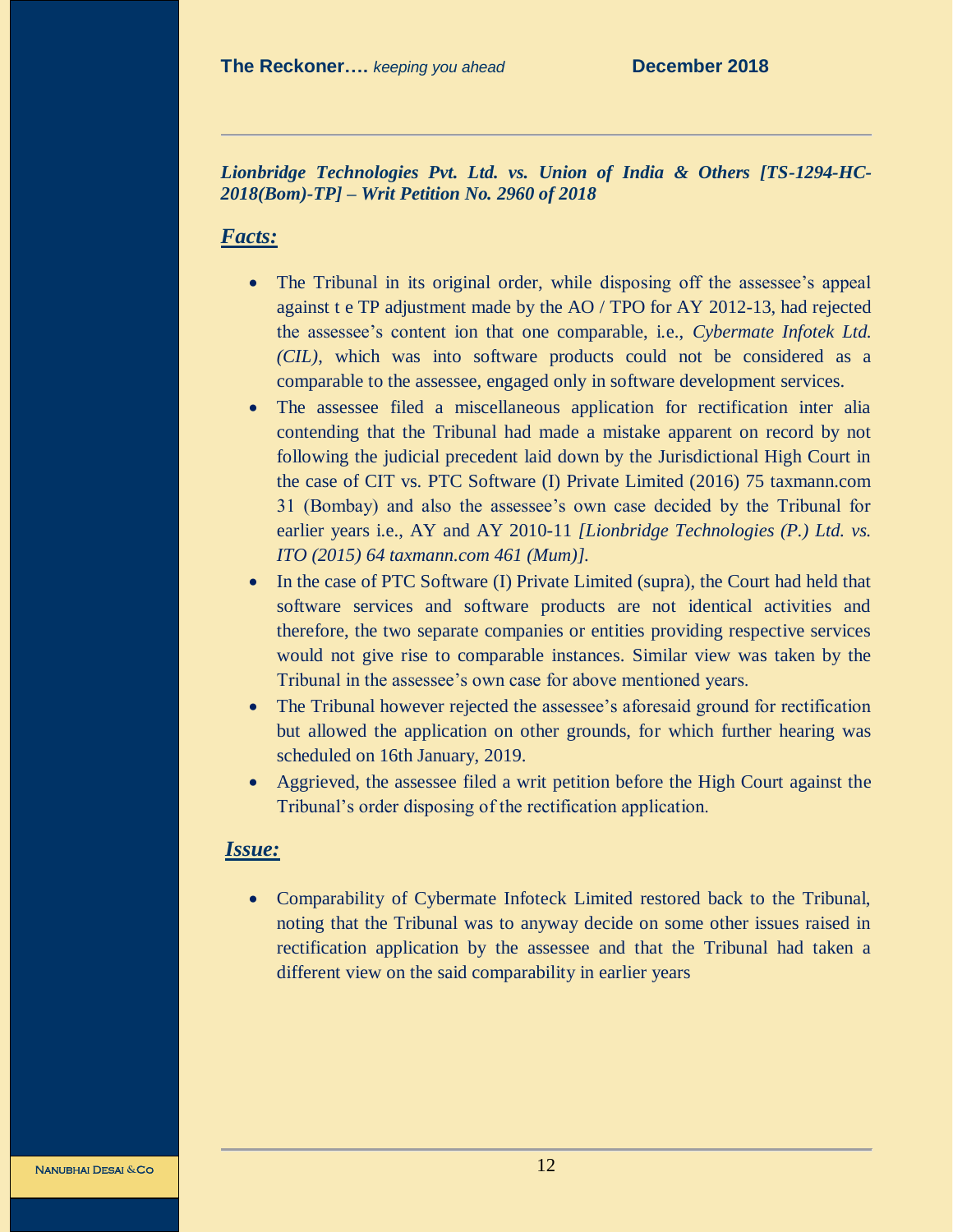*Lionbridge Technologies Pvt. Ltd. vs. Union of India & Others [TS-1294-HC-2018(Bom)-TP] – Writ Petition No. 2960 of 2018*

#### *Facts:*

- The Tribunal in its original order, while disposing off the assessee's appeal against t e TP adjustment made by the AO / TPO for AY 2012-13, had rejected the assessee's content ion that one comparable, i.e., *Cybermate Infotek Ltd. (CIL)*, which was into software products could not be considered as a comparable to the assessee, engaged only in software development services.
- The assessee filed a miscellaneous application for rectification inter alia contending that the Tribunal had made a mistake apparent on record by not following the judicial precedent laid down by the Jurisdictional High Court in the case of CIT vs. PTC Software (I) Private Limited (2016) 75 taxmann.com 31 (Bombay) and also the assessee's own case decided by the Tribunal for earlier years i.e., AY and AY 2010-11 *[Lionbridge Technologies (P.) Ltd. vs. ITO (2015) 64 taxmann.com 461 (Mum)].*
- In the case of PTC Software (I) Private Limited (supra), the Court had held that software services and software products are not identical activities and therefore, the two separate companies or entities providing respective services would not give rise to comparable instances. Similar view was taken by the Tribunal in the assessee's own case for above mentioned years.
- The Tribunal however rejected the assessee's aforesaid ground for rectification but allowed the application on other grounds, for which further hearing was scheduled on 16th January, 2019.
- Aggrieved, the assessee filed a writ petition before the High Court against the Tribunal's order disposing of the rectification application.

#### *Issue:*

 Comparability of Cybermate Infoteck Limited restored back to the Tribunal, noting that the Tribunal was to anyway decide on some other issues raised in rectification application by the assessee and that the Tribunal had taken a different view on the said comparability in earlier years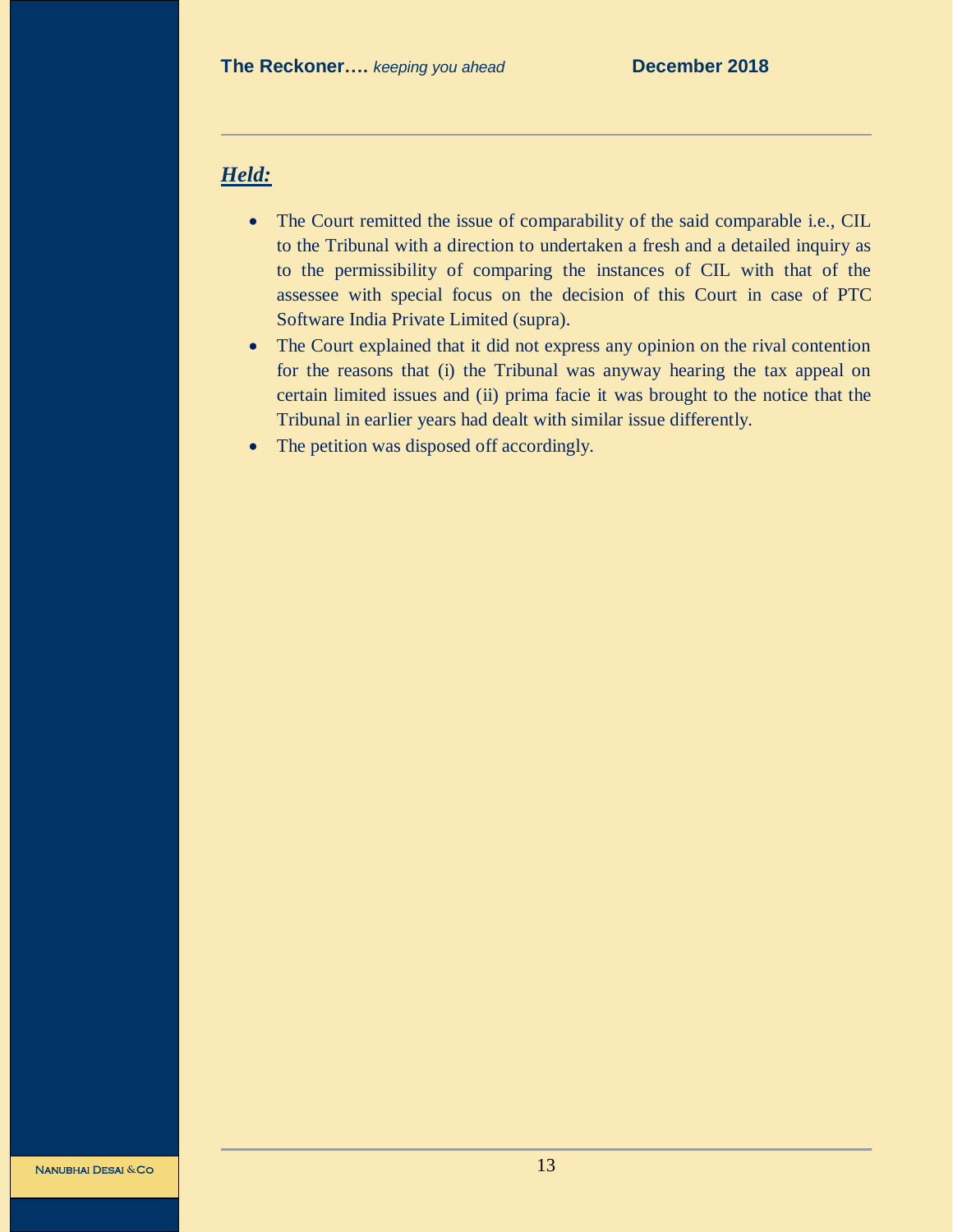# *Held:*

- The Court remitted the issue of comparability of the said comparable i.e., CIL to the Tribunal with a direction to undertaken a fresh and a detailed inquiry as to the permissibility of comparing the instances of CIL with that of the assessee with special focus on the decision of this Court in case of PTC Software India Private Limited (supra).
- The Court explained that it did not express any opinion on the rival contention for the reasons that (i) the Tribunal was anyway hearing the tax appeal on certain limited issues and (ii) prima facie it was brought to the notice that the Tribunal in earlier years had dealt with similar issue differently.
- The petition was disposed off accordingly.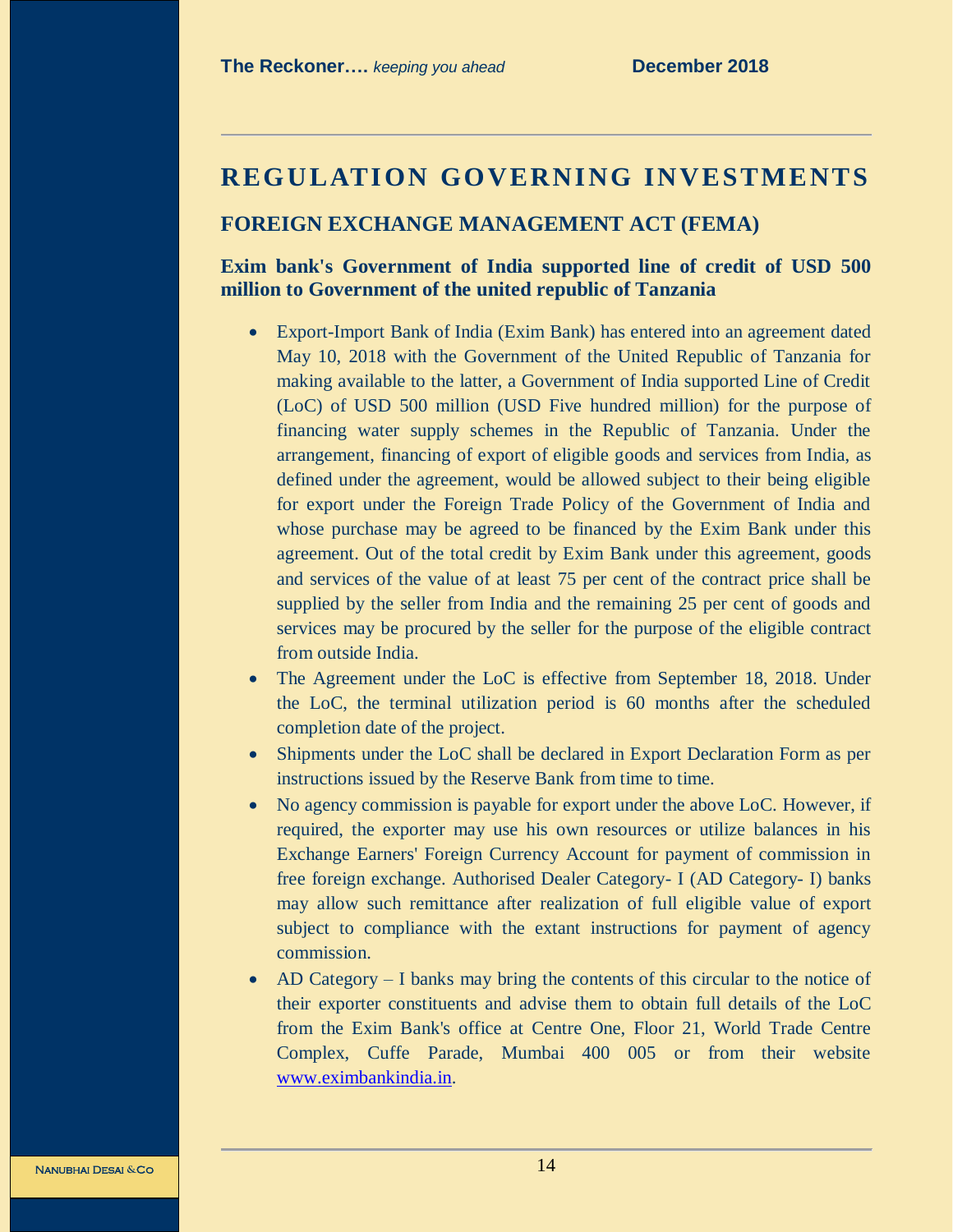# <span id="page-13-0"></span>**REGULATION GOVERNING INVESTMENTS**

# <span id="page-13-1"></span>**FOREIGN EXCHANGE MANAGEMENT ACT (FEMA)**

# **Exim bank's Government of India supported line of credit of USD 500 million to Government of the united republic of Tanzania**

- Export-Import Bank of India (Exim Bank) has entered into an agreement dated May 10, 2018 with the Government of the United Republic of Tanzania for making available to the latter, a Government of India supported Line of Credit (LoC) of USD 500 million (USD Five hundred million) for the purpose of financing water supply schemes in the Republic of Tanzania. Under the arrangement, financing of export of eligible goods and services from India, as defined under the agreement, would be allowed subject to their being eligible for export under the Foreign Trade Policy of the Government of India and whose purchase may be agreed to be financed by the Exim Bank under this agreement. Out of the total credit by Exim Bank under this agreement, goods and services of the value of at least 75 per cent of the contract price shall be supplied by the seller from India and the remaining 25 per cent of goods and services may be procured by the seller for the purpose of the eligible contract from outside India.
- The Agreement under the LoC is effective from September 18, 2018. Under the LoC, the terminal utilization period is 60 months after the scheduled completion date of the project.
- Shipments under the LoC shall be declared in Export Declaration Form as per instructions issued by the Reserve Bank from time to time.
- No agency commission is payable for export under the above LoC. However, if required, the exporter may use his own resources or utilize balances in his Exchange Earners' Foreign Currency Account for payment of commission in free foreign exchange. Authorised Dealer Category- I (AD Category- I) banks may allow such remittance after realization of full eligible value of export subject to compliance with the extant instructions for payment of agency commission.
- AD Category I banks may bring the contents of this circular to the notice of their exporter constituents and advise them to obtain full details of the LoC from the Exim Bank's office at Centre One, Floor 21, World Trade Centre Complex, Cuffe Parade, Mumbai 400 005 or from their website [www.eximbankindia.in.](http://www.eximbankindia.in/)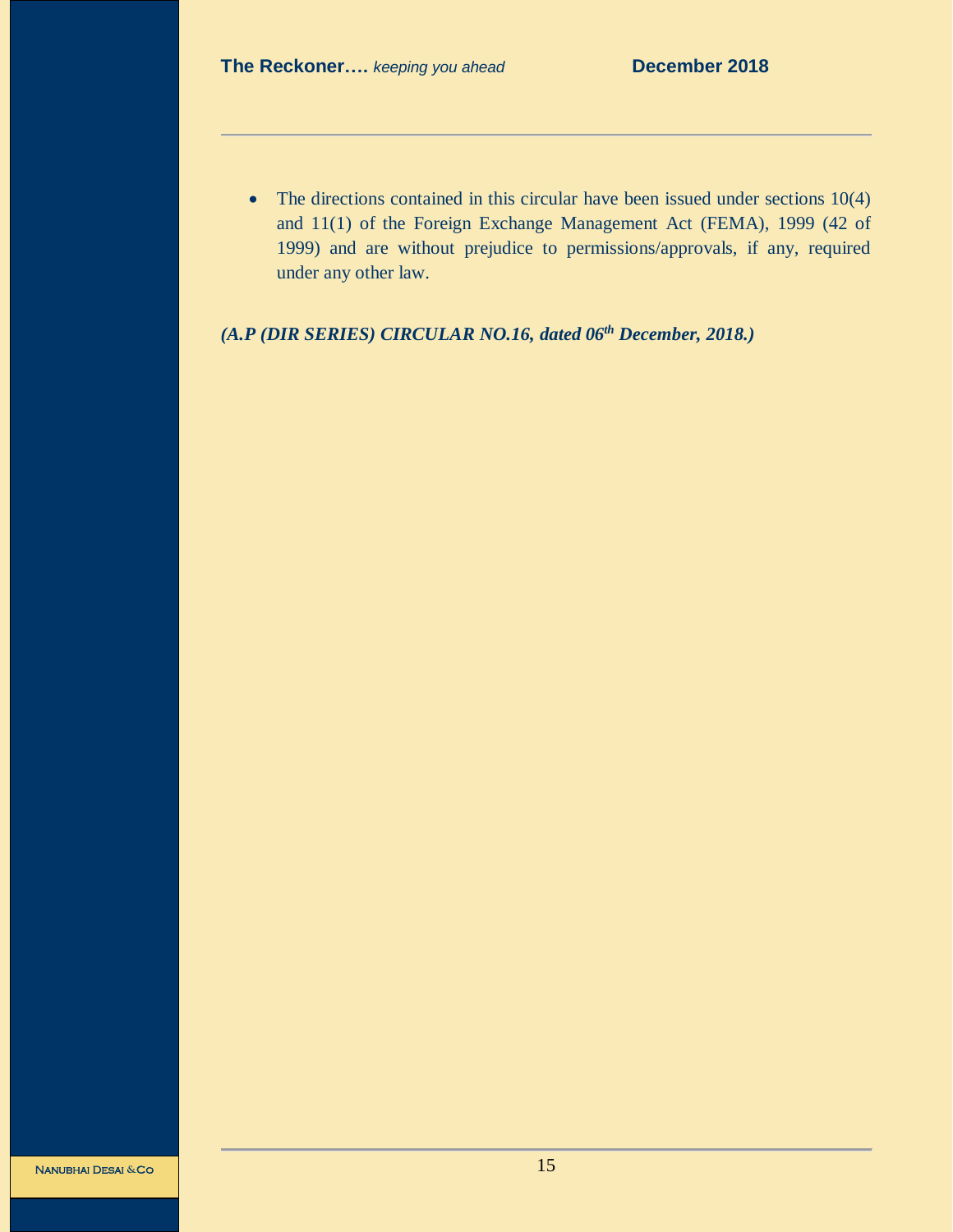$\bullet$  The directions contained in this circular have been issued under sections 10(4) and 11(1) of the Foreign Exchange Management Act (FEMA), 1999 (42 of 1999) and are without prejudice to permissions/approvals, if any, required under any other law.

*(A.P (DIR SERIES) CIRCULAR NO.16, dated 06th December, 2018.)*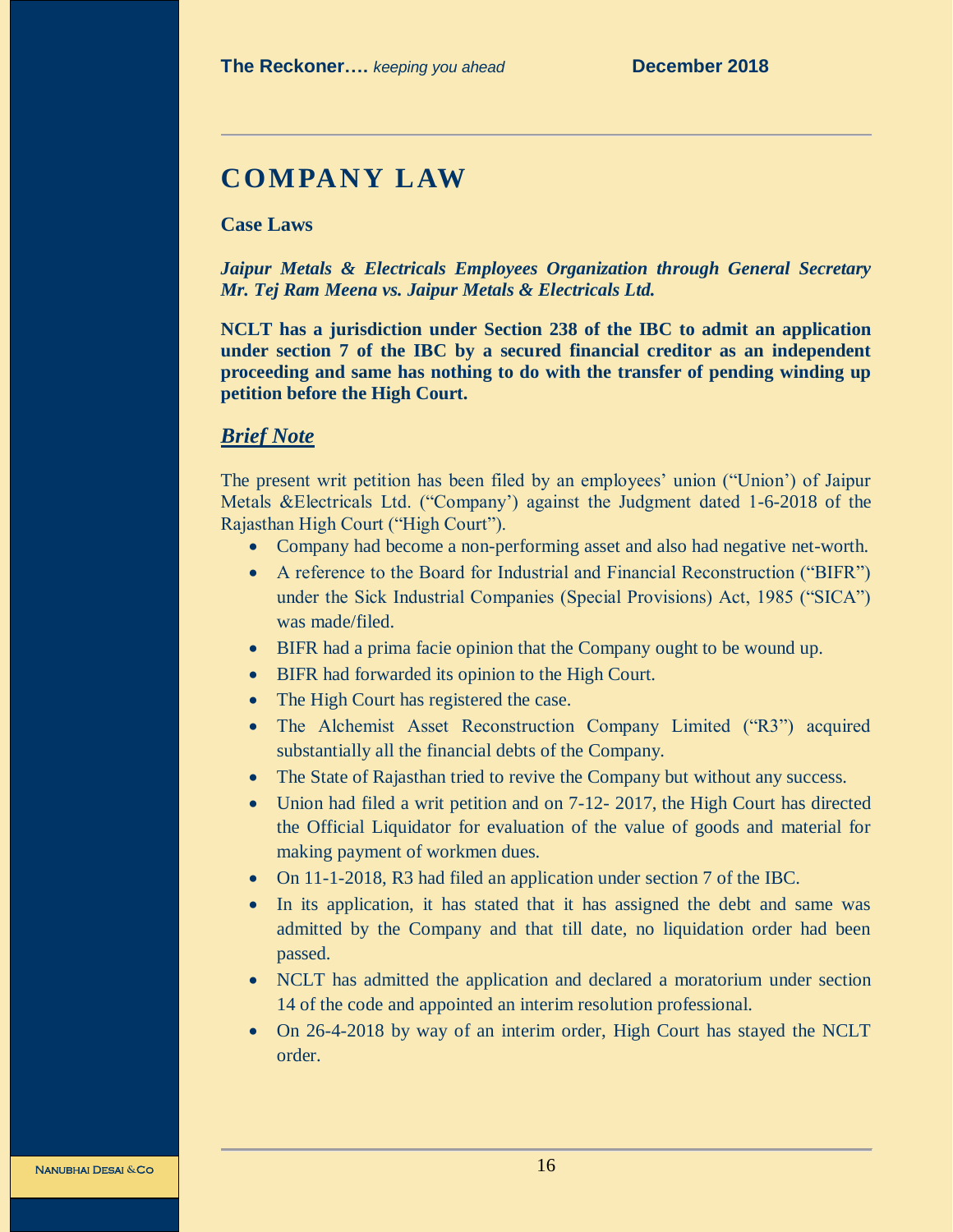# <span id="page-15-0"></span>**COMPANY LAW**

**Case Laws**

*Jaipur Metals & Electricals Employees Organization through General Secretary Mr. Tej Ram Meena vs. Jaipur Metals & Electricals Ltd.*

**NCLT has a jurisdiction under Section 238 of the IBC to admit an application under section 7 of the IBC by a secured financial creditor as an independent proceeding and same has nothing to do with the transfer of pending winding up petition before the High Court.**

## *Brief Note*

The present writ petition has been filed by an employees' union ("Union') of Jaipur Metals &Electricals Ltd. ("Company') against the Judgment dated 1-6-2018 of the Rajasthan High Court ("High Court").

- Company had become a non-performing asset and also had negative net-worth.
- A reference to the Board for Industrial and Financial Reconstruction ("BIFR") under the Sick Industrial Companies (Special Provisions) Act, 1985 ("SICA") was made/filed.
- BIFR had a prima facie opinion that the Company ought to be wound up.
- BIFR had forwarded its opinion to the High Court.
- The High Court has registered the case.
- The Alchemist Asset Reconstruction Company Limited ("R3") acquired substantially all the financial debts of the Company.
- The State of Rajasthan tried to revive the Company but without any success.
- Union had filed a writ petition and on 7-12- 2017, the High Court has directed the Official Liquidator for evaluation of the value of goods and material for making payment of workmen dues.
- On 11-1-2018, R3 had filed an application under section 7 of the IBC.
- In its application, it has stated that it has assigned the debt and same was admitted by the Company and that till date, no liquidation order had been passed.
- NCLT has admitted the application and declared a moratorium under section 14 of the code and appointed an interim resolution professional.
- On 26-4-2018 by way of an interim order, High Court has stayed the NCLT order.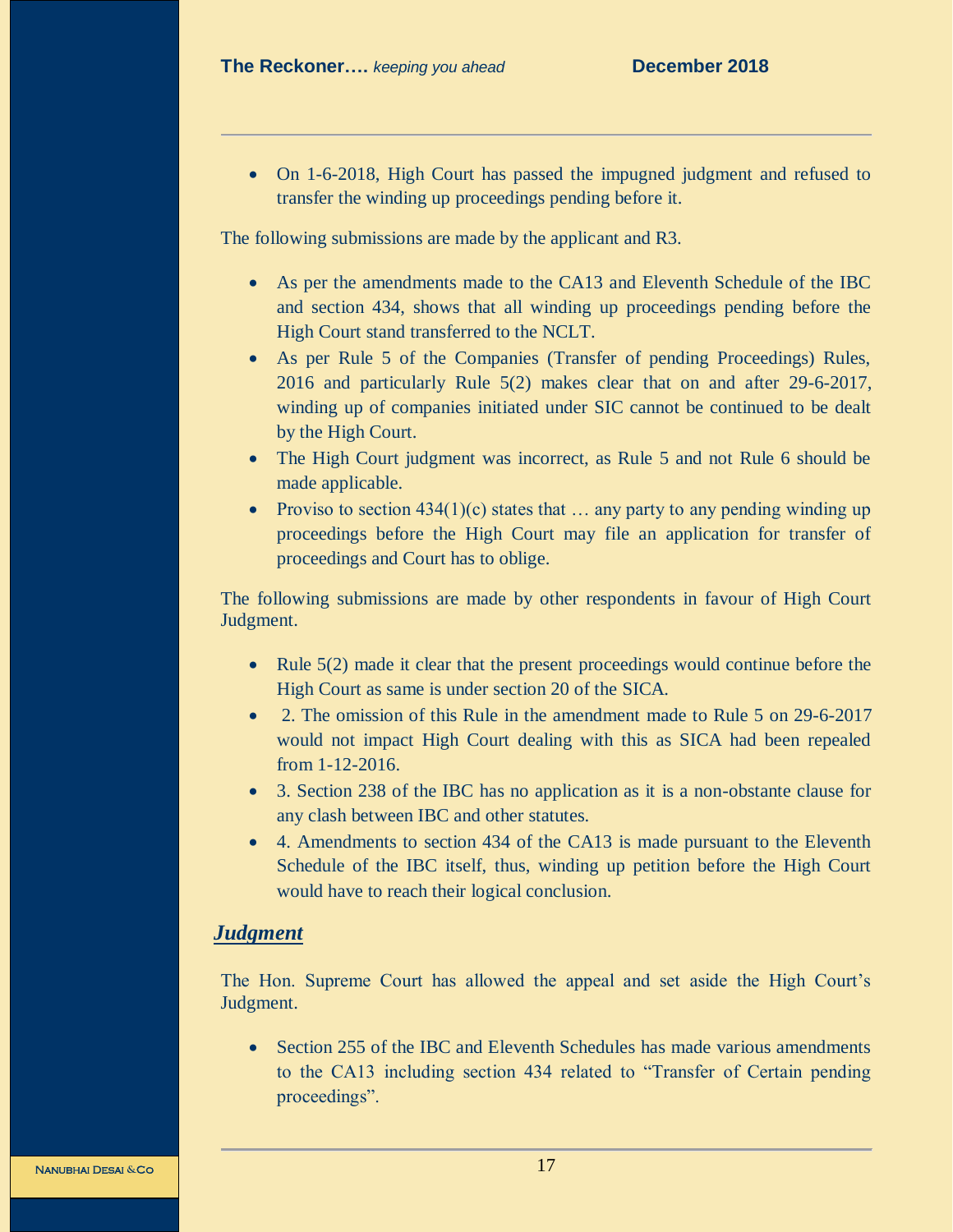On 1-6-2018, High Court has passed the impugned judgment and refused to transfer the winding up proceedings pending before it.

The following submissions are made by the applicant and R3.

- As per the amendments made to the CA13 and Eleventh Schedule of the IBC and section 434, shows that all winding up proceedings pending before the High Court stand transferred to the NCLT.
- As per Rule 5 of the Companies (Transfer of pending Proceedings) Rules, 2016 and particularly Rule 5(2) makes clear that on and after 29-6-2017, winding up of companies initiated under SIC cannot be continued to be dealt by the High Court.
- The High Court judgment was incorrect, as Rule 5 and not Rule 6 should be made applicable.
- Proviso to section  $434(1)(c)$  states that ... any party to any pending winding up proceedings before the High Court may file an application for transfer of proceedings and Court has to oblige.

The following submissions are made by other respondents in favour of High Court Judgment.

- Rule 5(2) made it clear that the present proceedings would continue before the High Court as same is under section 20 of the SICA.
- 2. The omission of this Rule in the amendment made to Rule 5 on 29-6-2017 would not impact High Court dealing with this as SICA had been repealed from 1-12-2016.
- 3. Section 238 of the IBC has no application as it is a non-obstante clause for any clash between IBC and other statutes.
- 4. Amendments to section 434 of the CA13 is made pursuant to the Eleventh Schedule of the IBC itself, thus, winding up petition before the High Court would have to reach their logical conclusion.

# *Judgment*

The Hon. Supreme Court has allowed the appeal and set aside the High Court's Judgment.

 Section 255 of the IBC and Eleventh Schedules has made various amendments to the CA13 including section 434 related to "Transfer of Certain pending proceedings".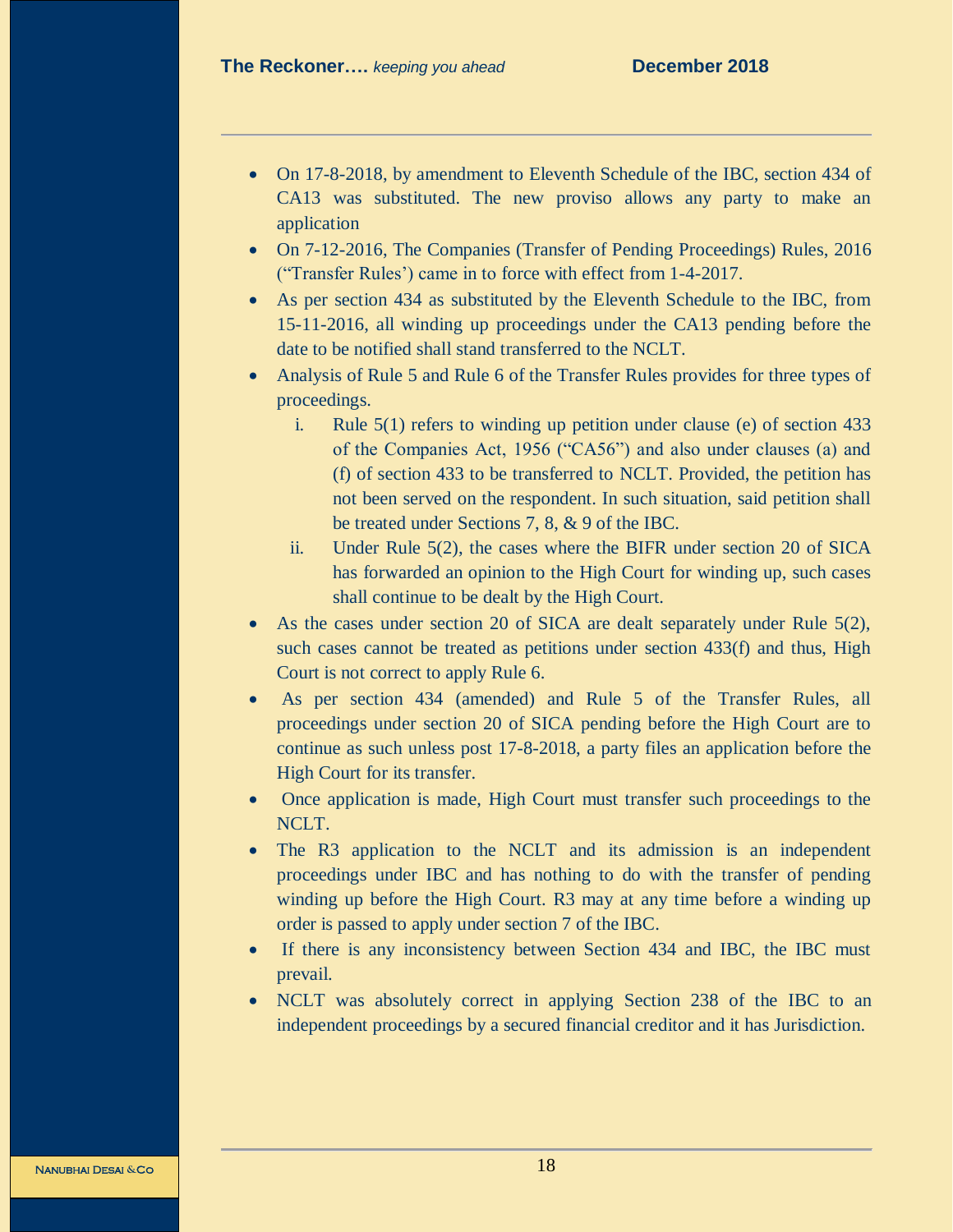- On 17-8-2018, by amendment to Eleventh Schedule of the IBC, section 434 of CA13 was substituted. The new proviso allows any party to make an application
- On 7-12-2016, The Companies (Transfer of Pending Proceedings) Rules, 2016 ("Transfer Rules') came in to force with effect from 1-4-2017.
- As per section 434 as substituted by the Eleventh Schedule to the IBC, from 15-11-2016, all winding up proceedings under the CA13 pending before the date to be notified shall stand transferred to the NCLT.
- Analysis of Rule 5 and Rule 6 of the Transfer Rules provides for three types of proceedings.
	- i. Rule 5(1) refers to winding up petition under clause (e) of section 433 of the Companies Act, 1956 ("CA56") and also under clauses (a) and (f) of section 433 to be transferred to NCLT. Provided, the petition has not been served on the respondent. In such situation, said petition shall be treated under Sections 7, 8, & 9 of the IBC.
	- ii. Under Rule 5(2), the cases where the BIFR under section 20 of SICA has forwarded an opinion to the High Court for winding up, such cases shall continue to be dealt by the High Court.
- As the cases under section 20 of SICA are dealt separately under Rule 5(2), such cases cannot be treated as petitions under section 433(f) and thus, High Court is not correct to apply Rule 6.
- As per section 434 (amended) and Rule 5 of the Transfer Rules, all proceedings under section 20 of SICA pending before the High Court are to continue as such unless post 17-8-2018, a party files an application before the High Court for its transfer.
- Once application is made, High Court must transfer such proceedings to the NCLT.
- The R3 application to the NCLT and its admission is an independent proceedings under IBC and has nothing to do with the transfer of pending winding up before the High Court. R3 may at any time before a winding up order is passed to apply under section 7 of the IBC.
- If there is any inconsistency between Section 434 and IBC, the IBC must prevail.
- NCLT was absolutely correct in applying Section 238 of the IBC to an independent proceedings by a secured financial creditor and it has Jurisdiction.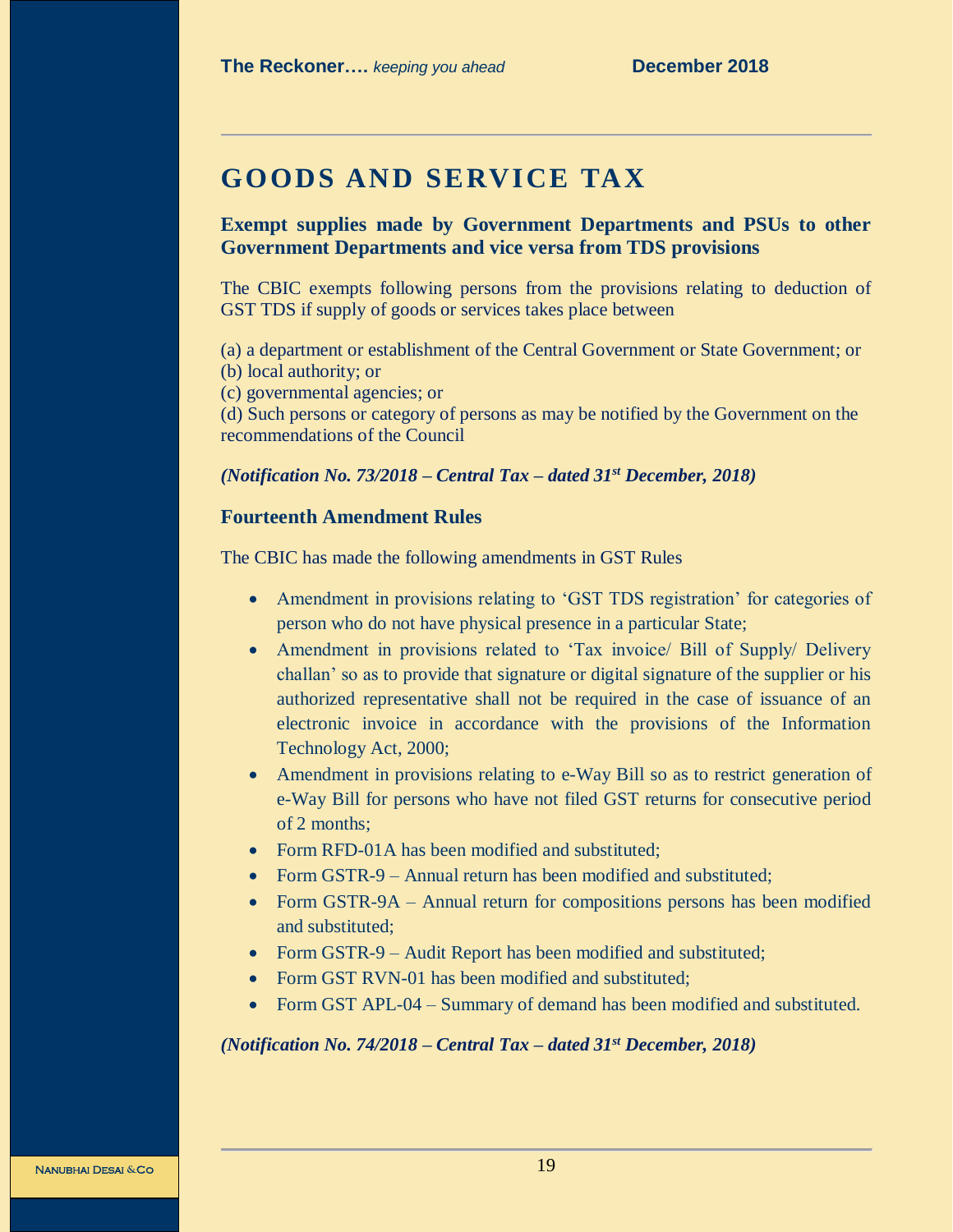# <span id="page-18-0"></span>**GOODS AND SERVICE TAX**

**Exempt supplies made by Government Departments and PSUs to other Government Departments and vice versa from TDS provisions**

The CBIC exempts following persons from the provisions relating to deduction of GST TDS if supply of goods or services takes place between

(a) a department or establishment of the Central Government or State Government; or (b) local authority; or

(c) governmental agencies; or

(d) Such persons or category of persons as may be notified by the Government on the recommendations of the Council

#### *(Notification No. 73/2018 – Central Tax – dated 31st December, 2018)*

#### **Fourteenth Amendment Rules**

The CBIC has made the following amendments in GST Rules

- Amendment in provisions relating to 'GST TDS registration' for categories of person who do not have physical presence in a particular State;
- Amendment in provisions related to 'Tax invoice/ Bill of Supply/ Delivery challan' so as to provide that signature or digital signature of the supplier or his authorized representative shall not be required in the case of issuance of an electronic invoice in accordance with the provisions of the Information Technology Act, 2000;
- Amendment in provisions relating to e-Way Bill so as to restrict generation of e-Way Bill for persons who have not filed GST returns for consecutive period of 2 months;
- Form RFD-01A has been modified and substituted:
- Form GSTR-9 Annual return has been modified and substituted:
- Form GSTR-9A Annual return for compositions persons has been modified and substituted;
- Form GSTR-9 Audit Report has been modified and substituted;
- Form GST RVN-01 has been modified and substituted:
- Form GST APL-04 Summary of demand has been modified and substituted.

#### *(Notification No. 74/2018 – Central Tax – dated 31st December, 2018)*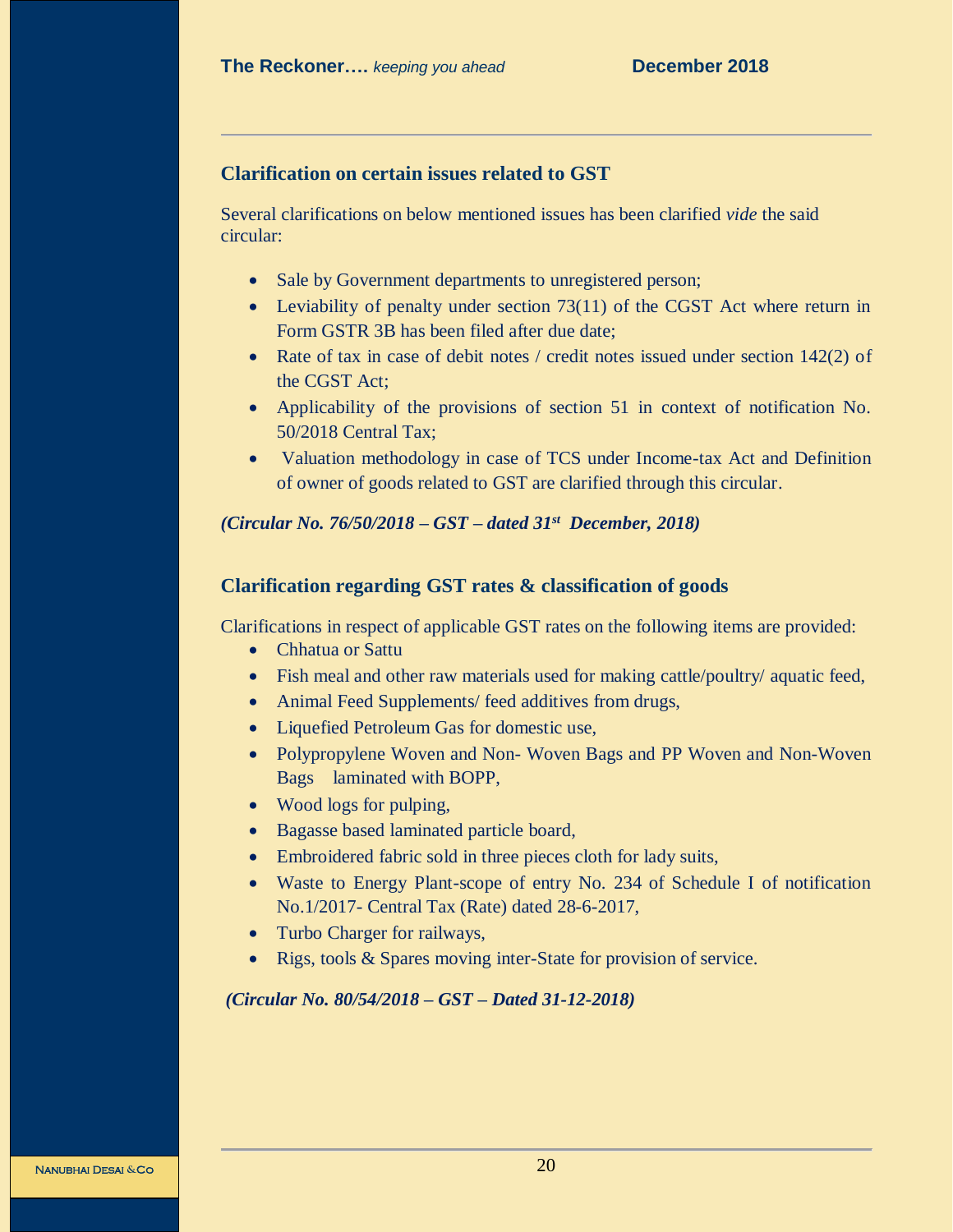## **Clarification on certain issues related to GST**

Several clarifications on below mentioned issues has been clarified *vide* the said circular:

- Sale by Government departments to unregistered person;
- Leviability of penalty under section 73(11) of the CGST Act where return in Form GSTR 3B has been filed after due date;
- Rate of tax in case of debit notes / credit notes issued under section  $142(2)$  of the CGST Act;
- Applicability of the provisions of section 51 in context of notification No. 50/2018 Central Tax;
- Valuation methodology in case of TCS under Income-tax Act and Definition of owner of goods related to GST are clarified through this circular.

*(Circular No. 76/50/2018 – GST – dated 31st December, 2018)*

#### **Clarification regarding GST rates & classification of goods**

Clarifications in respect of applicable GST rates on the following items are provided:

- Chhatua or Sattu
- Fish meal and other raw materials used for making cattle/poultry/ aquatic feed,
- Animal Feed Supplements/ feed additives from drugs,
- Liquefied Petroleum Gas for domestic use,
- Polypropylene Woven and Non- Woven Bags and PP Woven and Non-Woven Bags laminated with BOPP,
- Wood logs for pulping,
- Bagasse based laminated particle board,
- Embroidered fabric sold in three pieces cloth for lady suits,
- Waste to Energy Plant-scope of entry No. 234 of Schedule I of notification No.1/2017- Central Tax (Rate) dated 28-6-2017,
- Turbo Charger for railways,
- Rigs, tools & Spares moving inter-State for provision of service.

*(Circular No. 80/54/2018 – GST – Dated 31-12-2018)*